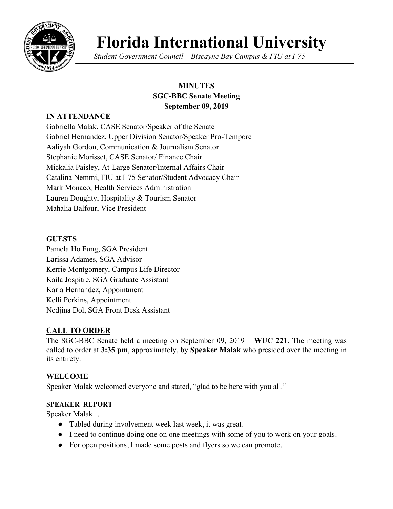

# **Florida International University**

*Student Government Council – Biscayne Bay Campus & FIU at I-75*

# **MINUTES**

#### **SGC-BBC Senate Meeting September 09, 2019**

# **IN ATTENDANCE**

Gabriella Malak, CASE Senator/Speaker of the Senate Gabriel Hernandez, Upper Division Senator/Speaker Pro-Tempore Aaliyah Gordon, Communication & Journalism Senator Stephanie Morisset, CASE Senator/ Finance Chair Mickalia Paisley, At-Large Senator/Internal Affairs Chair Catalina Nemmi, FIU at I-75 Senator/Student Advocacy Chair Mark Monaco, Health Services Administration Lauren Doughty, Hospitality & Tourism Senator Mahalia Balfour, Vice President

# **GUESTS**

Pamela Ho Fung, SGA President Larissa Adames, SGA Advisor Kerrie Montgomery, Campus Life Director Kaila Jospitre, SGA Graduate Assistant Karla Hernandez, Appointment Kelli Perkins, Appointment Nedjina Dol, SGA Front Desk Assistant

# **CALL TO ORDER**

The SGC-BBC Senate held a meeting on September 09, 2019 – **WUC 221**. The meeting was called to order at **3:35 pm**, approximately, by **Speaker Malak** who presided over the meeting in its entirety.

# **WELCOME**

Speaker Malak welcomed everyone and stated, "glad to be here with you all."

# **SPEAKER REPORT**

Speaker Malak …

- Tabled during involvement week last week, it was great.
- I need to continue doing one on one meetings with some of you to work on your goals.
- For open positions, I made some posts and flyers so we can promote.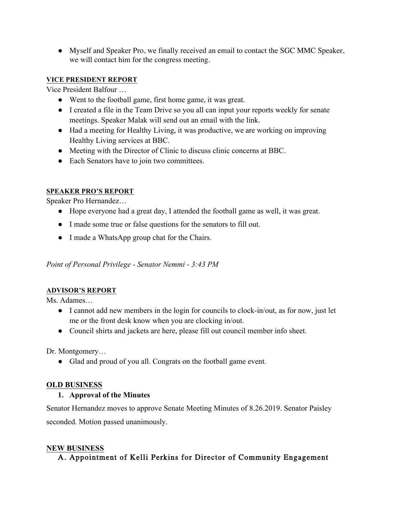● Myself and Speaker Pro, we finally received an email to contact the SGC MMC Speaker, we will contact him for the congress meeting.

## **VICE PRESIDENT REPORT**

Vice President Balfour …

- Went to the football game, first home game, it was great.
- I created a file in the Team Drive so you all can input your reports weekly for senate meetings. Speaker Malak will send out an email with the link.
- Had a meeting for Healthy Living, it was productive, we are working on improving Healthy Living services at BBC.
- Meeting with the Director of Clinic to discuss clinic concerns at BBC.
- Each Senators have to join two committees.

## **SPEAKER PRO'S REPORT**

Speaker Pro Hernandez…

- Hope everyone had a great day, I attended the football game as well, it was great.
- I made some true or false questions for the senators to fill out.
- I made a WhatsApp group chat for the Chairs.

*Point of Personal Privilege - Senator Nemmi - 3:43 PM*

# **ADVISOR'S REPORT**

Ms. Adames…

- I cannot add new members in the login for councils to clock-in/out, as for now, just let me or the front desk know when you are clocking in/out.
- Council shirts and jackets are here, please fill out council member info sheet.

Dr. Montgomery…

● Glad and proud of you all. Congrats on the football game event.

# **OLD BUSINESS**

# **1. Approval of the Minutes**

Senator Hernandez moves to approve Senate Meeting Minutes of 8.26.2019. Senator Paisley seconded. Motion passed unanimously.

# **NEW BUSINESS**

# A. Appointment of Kelli Perkins for Director of Community Engagement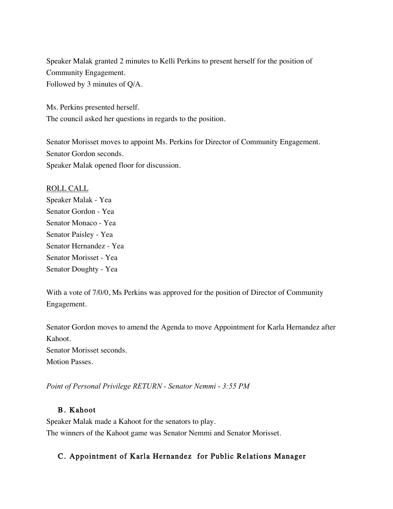Speaker Malak granted 2 minutes to Kelli Perkins to present herself for the position of Community Engagement. Followed by 3 minutes of Q/A.

Ms. Perkins presented herself. The council asked her questions in regards to the position.

Senator Morisset moves to appoint Ms. Perkins for Director of Community Engagement. Senator Gordon seconds. Speaker Malak opened floor for discussion.

ROLL CALL Speaker Malak - Yea Senator Gordon - Yea Senator Monaco - Yea Senator Paisley - Yea Senator Hernandez - Yea Senator Morisset - Yea Senator Doughty - Yea

With a vote of 7/0/0, Ms Perkins was approved for the position of Director of Community Engagement.

Senator Gordon moves to amend the Agenda to move Appointment for Karla Hernandez after Kahoot. Senator Morisset seconds. Motion Passes.

*Point of Personal Privilege RETURN - Senator Nemmi - 3:55 PM*

# B. Kahoot

Speaker Malak made a Kahoot for the senators to play. The winners of the Kahoot game was Senator Nemmi and Senator Morisset.

# C. Appointment of Karla Hernandez for Public Relations Manager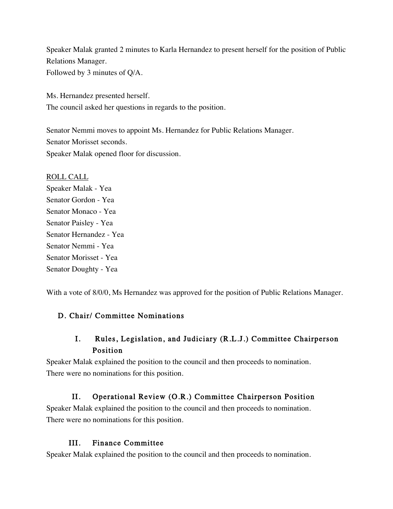Speaker Malak granted 2 minutes to Karla Hernandez to present herself for the position of Public Relations Manager. Followed by 3 minutes of Q/A.

Ms. Hernandez presented herself. The council asked her questions in regards to the position.

Senator Nemmi moves to appoint Ms. Hernandez for Public Relations Manager. Senator Morisset seconds. Speaker Malak opened floor for discussion.

ROLL CALL Speaker Malak - Yea Senator Gordon - Yea Senator Monaco - Yea Senator Paisley - Yea Senator Hernandez - Yea Senator Nemmi - Yea Senator Morisset - Yea Senator Doughty - Yea

With a vote of 8/0/0, Ms Hernandez was approved for the position of Public Relations Manager.

# D. Chair/ Committee Nominations

# I. Rules, Legislation, and Judiciary (R.L.J.) Committee Chairperson Position

Speaker Malak explained the position to the council and then proceeds to nomination. There were no nominations for this position.

# II. Operational Review (O.R.) Committee Chairperson Position

Speaker Malak explained the position to the council and then proceeds to nomination. There were no nominations for this position.

# III. Finance Committee

Speaker Malak explained the position to the council and then proceeds to nomination.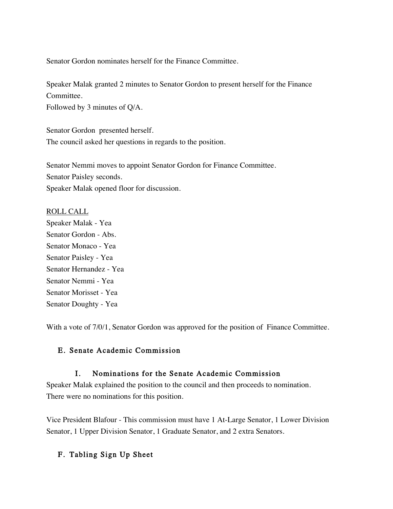Senator Gordon nominates herself for the Finance Committee.

Speaker Malak granted 2 minutes to Senator Gordon to present herself for the Finance Committee.

Followed by 3 minutes of Q/A.

Senator Gordon presented herself. The council asked her questions in regards to the position.

Senator Nemmi moves to appoint Senator Gordon for Finance Committee. Senator Paisley seconds. Speaker Malak opened floor for discussion.

#### ROLL CALL

Speaker Malak - Yea Senator Gordon - Abs. Senator Monaco - Yea Senator Paisley - Yea Senator Hernandez - Yea Senator Nemmi - Yea Senator Morisset - Yea Senator Doughty - Yea

With a vote of  $7/0/1$ , Senator Gordon was approved for the position of Finance Committee.

### E. Senate Academic Commission

### I. Nominations for the Senate Academic Commission

Speaker Malak explained the position to the council and then proceeds to nomination. There were no nominations for this position.

Vice President Blafour - This commission must have 1 At-Large Senator, 1 Lower Division Senator, 1 Upper Division Senator, 1 Graduate Senator, and 2 extra Senators.

# F. Tabling Sign Up Sheet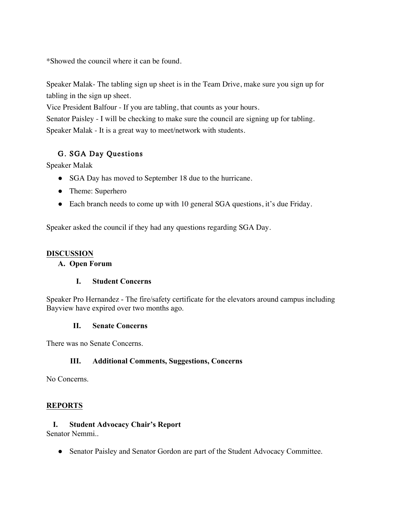\*Showed the council where it can be found.

Speaker Malak- The tabling sign up sheet is in the Team Drive, make sure you sign up for tabling in the sign up sheet.

Vice President Balfour - If you are tabling, that counts as your hours.

Senator Paisley - I will be checking to make sure the council are signing up for tabling. Speaker Malak - It is a great way to meet/network with students.

# G. SGA Day Questions

Speaker Malak

- SGA Day has moved to September 18 due to the hurricane.
- Theme: Superhero
- Each branch needs to come up with 10 general SGA questions, it's due Friday.

Speaker asked the council if they had any questions regarding SGA Day.

#### **DISCUSSION**

#### **A. Open Forum**

### **I. Student Concerns**

Speaker Pro Hernandez - The fire/safety certificate for the elevators around campus including Bayview have expired over two months ago.

### **II. Senate Concerns**

There was no Senate Concerns.

### **III. Additional Comments, Suggestions, Concerns**

No Concerns.

### **REPORTS**

### **I. Student Advocacy Chair's Report**

Senator Nemmi..

● Senator Paisley and Senator Gordon are part of the Student Advocacy Committee.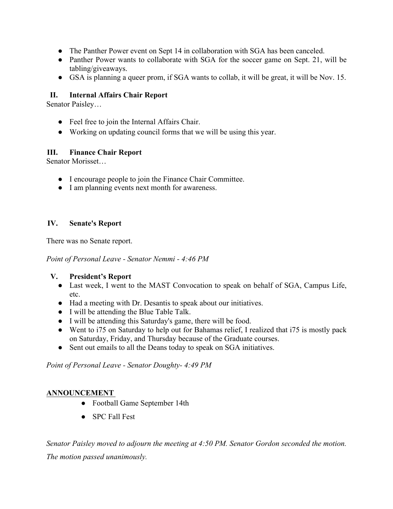- The Panther Power event on Sept 14 in collaboration with SGA has been canceled.
- Panther Power wants to collaborate with SGA for the soccer game on Sept. 21, will be tabling/giveaways.
- GSA is planning a queer prom, if SGA wants to collab, it will be great, it will be Nov. 15.

## **II. Internal Affairs Chair Report**

Senator Paisley…

- Feel free to join the Internal Affairs Chair.
- Working on updating council forms that we will be using this year.

### **III. Finance Chair Report**

Senator Morisset…

- I encourage people to join the Finance Chair Committee.
- I am planning events next month for awareness.

### **IV. Senate's Report**

There was no Senate report.

*Point of Personal Leave - Senator Nemmi - 4:46 PM*

### **V. President's Report**

- Last week, I went to the MAST Convocation to speak on behalf of SGA, Campus Life, etc.
- Had a meeting with Dr. Desantis to speak about our initiatives.
- I will be attending the Blue Table Talk.
- I will be attending this Saturday's game, there will be food.
- Went to i75 on Saturday to help out for Bahamas relief, I realized that i75 is mostly pack on Saturday, Friday, and Thursday because of the Graduate courses.
- Sent out emails to all the Deans today to speak on SGA initiatives.

*Point of Personal Leave - Senator Doughty- 4:49 PM*

### **ANNOUNCEMENT**

- Football Game September 14th
- SPC Fall Fest

*Senator Paisley moved to adjourn the meeting at 4:50 PM. Senator Gordon seconded the motion. The motion passed unanimously.*